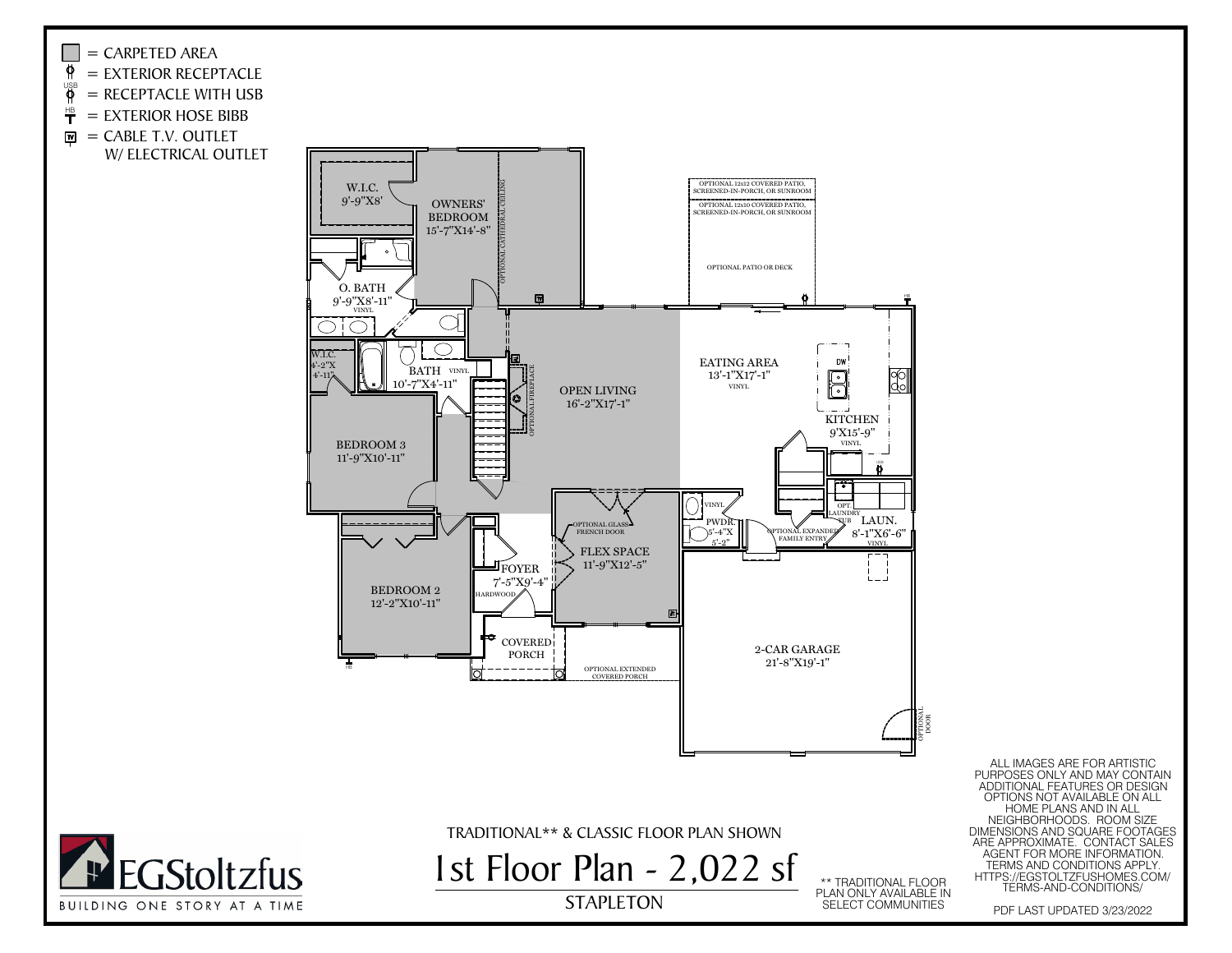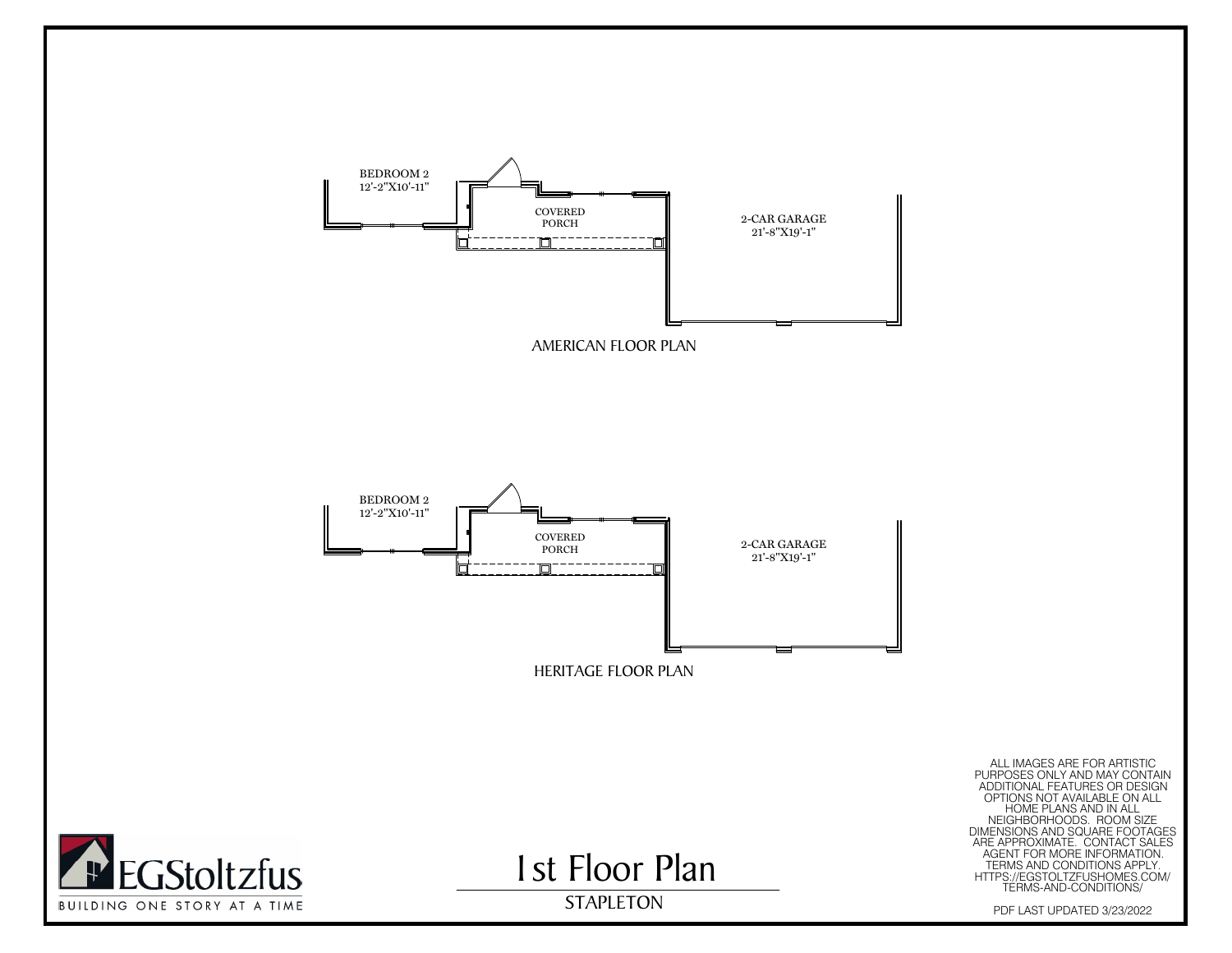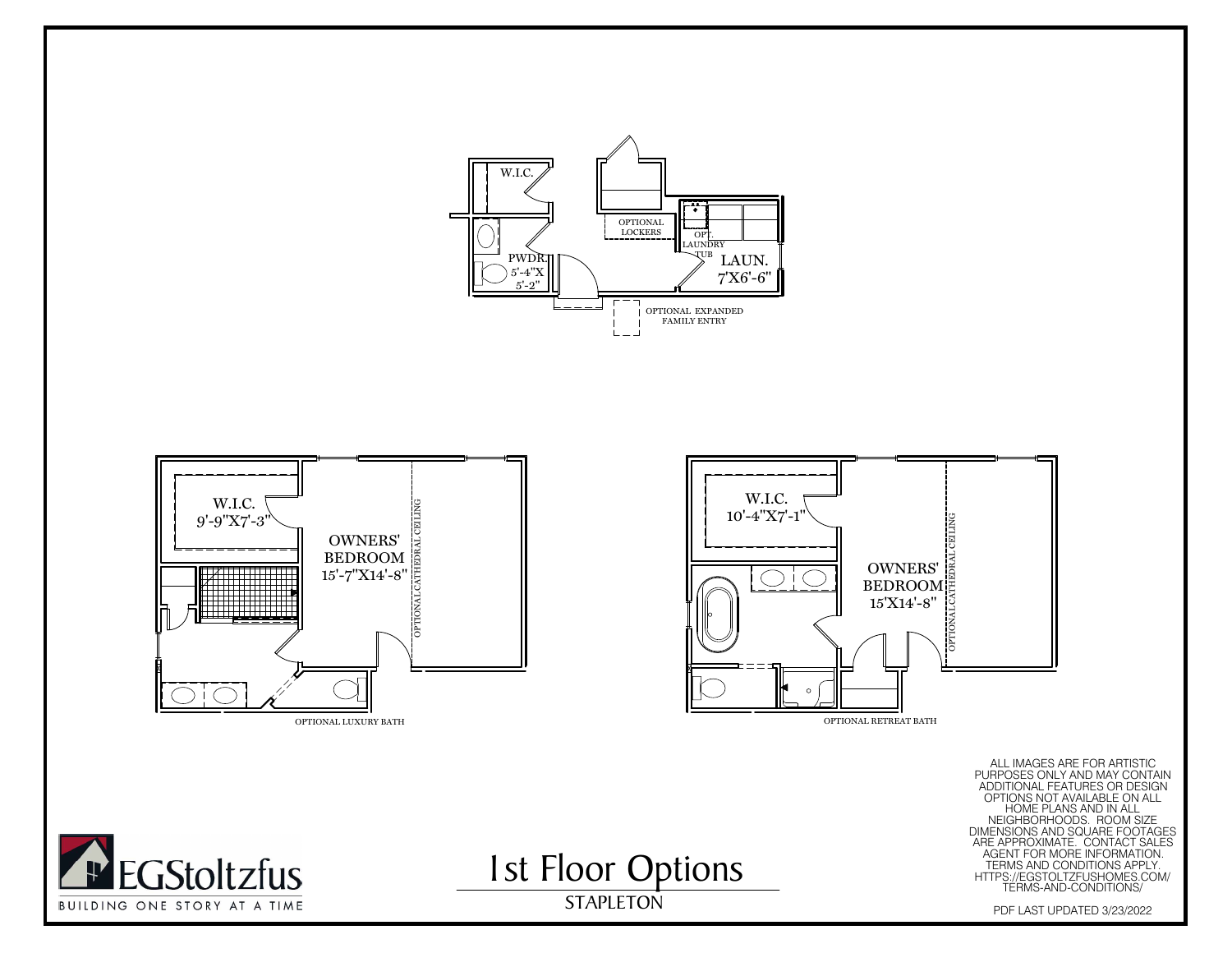

**1st Floor Options** 

STAPLETON



BUILDING ONE STORY AT A TIME



ALL IMAGES ARE FOR ARTISTIC<br>PURPOSES ONLY AND MAY CONTAIN<br>ADDITIONAL FEATURES OR DESIGN<br>OPTIONS NOT AVAILABLE ON ALL<br>PURPOSES ONLY AND MEGAPOODS ROOM SIZE<br>DIMENSIONS AND SQUARE FOOTAGES<br>ARE AGENT FOR MORE INFORMATION.<br>TERM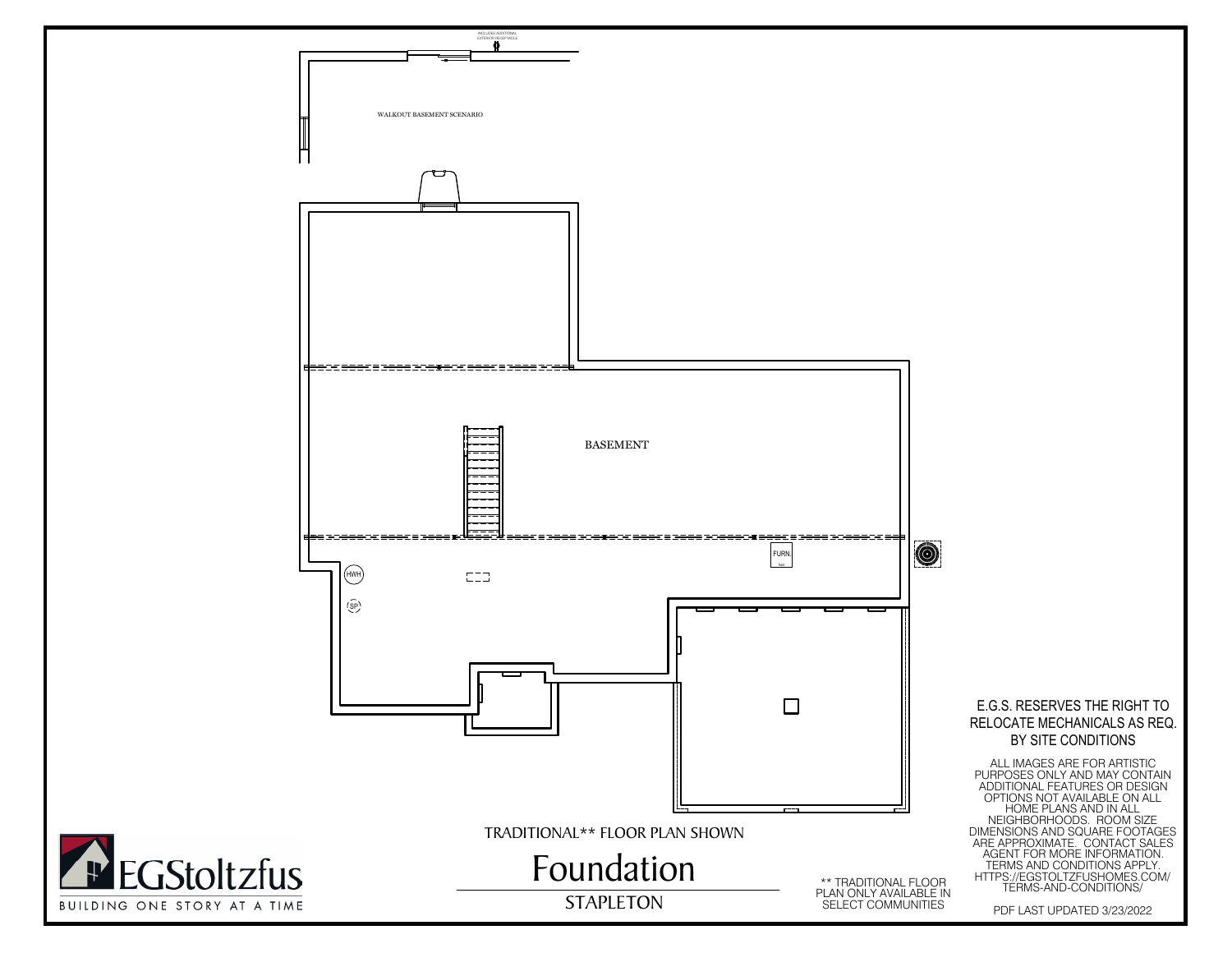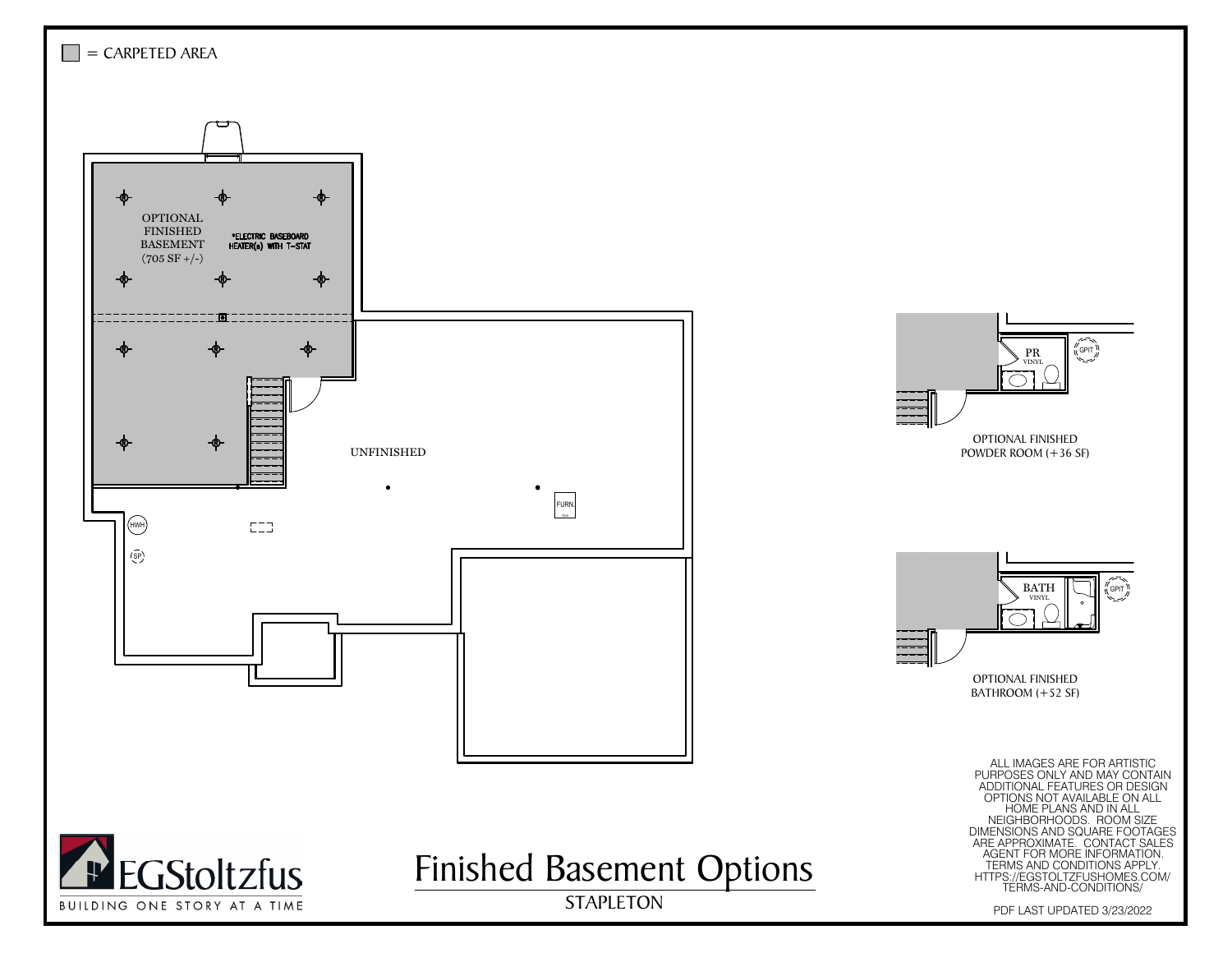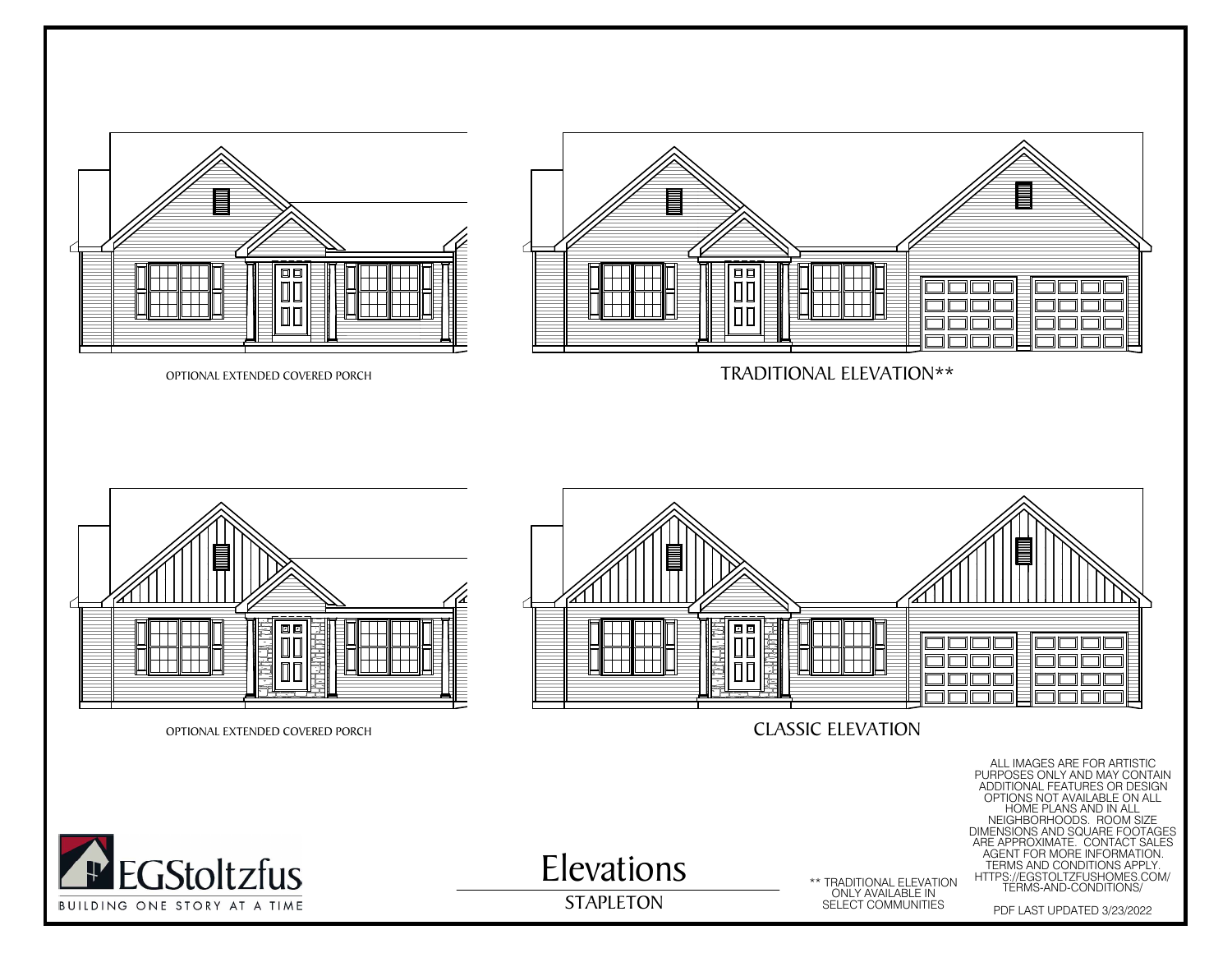